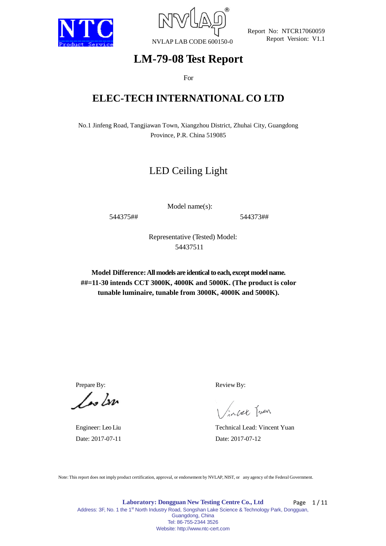



# **LM-79-08 Test Report**

For

# **ELEC-TECH INTERNATIONAL CO LTD**

No.1 Jinfeng Road, Tangjiawan Town, Xiangzhou District, Zhuhai City, Guangdong Province, P.R. China 519085

# LED Ceiling Light

Model name(s):

544375## 544373##

Representative (Tested) Model: 54437511

**Model Difference:All models are identical to each, except model name. ##=11-30 intends CCT 3000K, 4000K and 5000K. (The product is color tunable luminaire, tunable from 3000K, 4000K and 5000K).**

 $\sqrt{\omega}$ 

Prepare By: Review By:

incet Juen

Engineer: Leo Liu Technical Lead: Vincent Yuan Date: 2017-07-11 Date: 2017-07-12

Note: This report does not imply product certification, approval, or endorsement by NVLAP, NIST, or any agency of the Federal Government.

**Laboratory: Dongguan New Testing Centre Co., Ltd** Address: 3F, No. 1 the 1<sup>st</sup> North Industry Road, Songshan Lake Science & Technology Park, Dongguan, Guangdong, China Tel: 86-755-2344 3526 Website: http://www.ntc-cert.com Page  $1/11$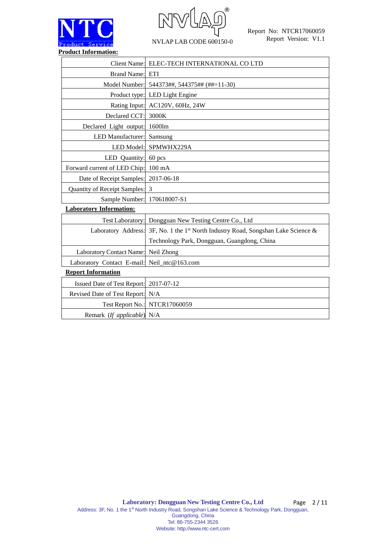

 $\circledR$ NVLAP LAB CODE 600150-0

|                                        | Client Name: ELEC-TECH INTERNATIONAL CO LTD                    |
|----------------------------------------|----------------------------------------------------------------|
| Brand Name: ETI                        |                                                                |
|                                        | Model Number: 544373##, 544375## (##=11-30)                    |
|                                        | Product type: LED Light Engine                                 |
|                                        | Rating Input: AC120V, 60Hz, 24W                                |
| Declared CCT: 3000K                    |                                                                |
| Declared Light output: 1600lm          |                                                                |
| LED Manufacturer: Samsung              |                                                                |
|                                        | LED Model: SPMWHX229A                                          |
| LED Quantity:                          | 60 pcs                                                         |
| Forward current of LED Chip: 100 mA    |                                                                |
| Date of Receipt Samples: 2017-06-18    |                                                                |
| Quantity of Receipt Samples: 3         |                                                                |
| Sample Number: 170618007-S1            |                                                                |
| <b>Laboratory Information:</b>         |                                                                |
|                                        | Test Laboratory: Dongguan New Testing Centre Co., Ltd          |
| Laboratory Address:                    | 3F, No. 1 the 1st North Industry Road, Songshan Lake Science & |
|                                        | Technology Park, Dongguan, Guangdong, China                    |
| Laboratory Contact Name:               | Neil Zhong                                                     |
| Laboratory Contact E-mail:             | Neil_ntc@163.com                                               |
| <b>Report Information</b>              |                                                                |
| Issued Date of Test Report: 2017-07-12 |                                                                |
| Revised Date of Test Report: N/A       |                                                                |
|                                        | Test Report No.: NTCR17060059                                  |
| Remark (If applicable) N/A             |                                                                |
|                                        |                                                                |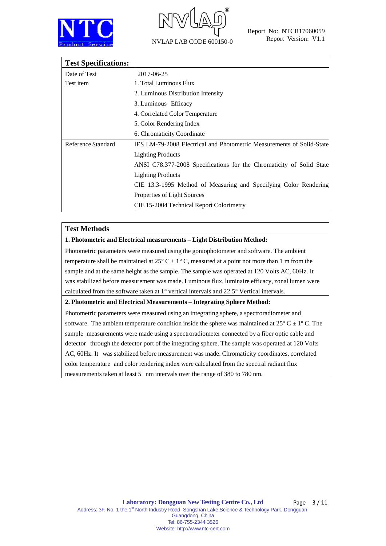



| <b>Test Specifications:</b> |                                                                       |
|-----------------------------|-----------------------------------------------------------------------|
| Date of Test                | 2017-06-25                                                            |
| Test item                   | 1. Total Luminous Flux                                                |
|                             | 2. Luminous Distribution Intensity                                    |
|                             | 3. Luminous Efficacy                                                  |
|                             | 4. Correlated Color Temperature                                       |
|                             | 5. Color Rendering Index                                              |
|                             | 6. Chromaticity Coordinate                                            |
| Reference Standard          | IES LM-79-2008 Electrical and Photometric Measurements of Solid-State |
|                             | <b>Lighting Products</b>                                              |
|                             | ANSI C78.377-2008 Specifications for the Chromaticity of Solid State  |
|                             | <b>Lighting Products</b>                                              |
|                             | CIE 13.3-1995 Method of Measuring and Specifying Color Rendering      |
|                             | Properties of Light Sources                                           |
|                             | CIE 15-2004 Technical Report Colorimetry                              |

## **Test Methods**

### **1. Photometric and Electrical measurements – Light Distribution Method:**

Photometric parameters were measured using the goniophotometer and software. The ambient temperature shall be maintained at  $25^{\circ}$  C  $\pm$  1°C, measured at a point not more than 1 m from the sample and at the same height as the sample. The sample was operated at 120 Volts AC, 60Hz. It was stabilized before measurement was made. Luminous flux, luminaire efficacy, zonal lumen were calculated from the software taken at  $1^{\circ}$  vertical intervals and  $22.5^{\circ}$  Vertical intervals.

#### **2. Photometric and Electrical Measurements – Integrating Sphere Method:**

Photometric parameters were measured using an integrating sphere, a spectroradiometer and software. The ambient temperature condition inside the sphere was maintained at  $25^{\circ}$  C  $\pm$  1<sup>o</sup> C. The sample measurements were made using a spectroradiometer connected by a fiber optic cable and detector through the detector port of the integrating sphere. The sample was operated at 120 Volts AC, 60Hz. It was stabilized before measurement was made. Chromaticity coordinates, correlated color temperature and color rendering index were calculated from the spectral radiant flux measurements taken at least 5 nm intervals over the range of 380 to 780 nm.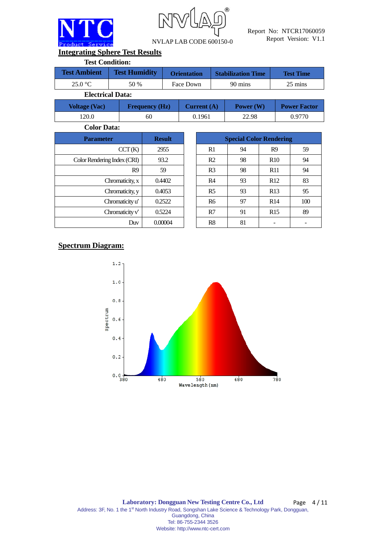



**Integrating Sphere Test Results**

| <b>Test Condition:</b> |                         |                    |                           |                  |
|------------------------|-------------------------|--------------------|---------------------------|------------------|
| <b>Test Ambient</b>    | <b>Test Humidity</b>    | <b>Orientation</b> | <b>Stabilization Time</b> | <b>Test Time</b> |
| 25.0 °C                | 50 %                    | Face Down          | 90 mins                   | 25 mins          |
|                        | <b>Electrical Data:</b> |                    |                           |                  |

| <b>Voltage (Vac)</b> | <b>Frequency (Hz)</b> | Current $(A)$ | Power $(W)$ | <b>Power Factor</b> |
|----------------------|-----------------------|---------------|-------------|---------------------|
| '20.0                | 60                    | 0.1961        | 22.98       | 0.9770              |

**Color Data:**

| <b>Parameter</b>            | <b>Result</b> |                |    | <b>Special Color Rendering</b> |
|-----------------------------|---------------|----------------|----|--------------------------------|
| CCT(K)                      | 2955          | R1             | 94 | R <sub>9</sub>                 |
| Color Rendering Index (CRI) | 93.2          | R <sub>2</sub> | 98 | R10                            |
| R <sub>9</sub>              | 59            | R <sub>3</sub> | 98 | <b>R11</b>                     |
| Chromaticity, x             | 0.4402        | R <sub>4</sub> | 93 | R12                            |
| Chromaticity, y             | 0.4053        | R <sub>5</sub> | 93 | R13                            |
| Chromaticity u'             | 0.2522        | <b>R6</b>      | 97 | R14                            |
| Chromaticity $v'$           | 0.5224        | R7             | 91 | R15                            |
| Duv                         | 0.00004       | R8             | 81 |                                |

| <b>Parameter</b>            | <b>Result</b> | <b>Special Color Rendering</b> |    |                 |     |  |  |  |  |
|-----------------------------|---------------|--------------------------------|----|-----------------|-----|--|--|--|--|
| CCT(K)                      | 2955          | R1                             | 94 | R <sub>9</sub>  | 59  |  |  |  |  |
| Color Rendering Index (CRI) | 93.2          | R <sub>2</sub>                 | 98 | R <sub>10</sub> | 94  |  |  |  |  |
| R <sub>9</sub>              | 59            | R <sub>3</sub>                 | 98 | R11             | 94  |  |  |  |  |
| Chromaticity, x             | 0.4402        | R <sub>4</sub>                 | 93 | R12             | 83  |  |  |  |  |
| Chromaticity, y             | 0.4053        | R <sub>5</sub>                 | 93 | R13             | 95  |  |  |  |  |
| Chromaticity u'             | 0.2522        | <b>R6</b>                      | 97 | R14             | 100 |  |  |  |  |
| Chromaticity $v'$           | 0.5224        | R7                             | 91 | R15             | 89  |  |  |  |  |
| Duv                         | 0.00004       | R8                             | 81 |                 |     |  |  |  |  |

# **Spectrum Diagram:**

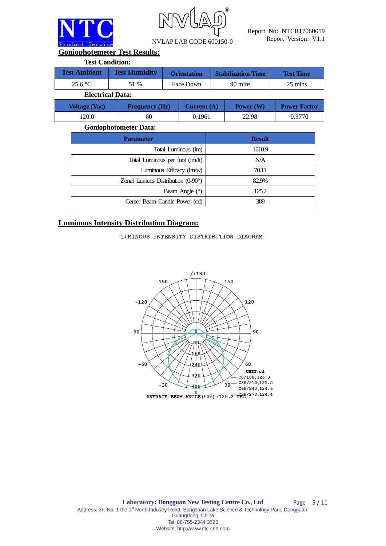

R

NVLAP LAB CODE 600150-0

Report No: NTCR17060059 Report Version: V1.1

**Goniophotemeter Test Results:**

| <b>Test Condition:</b> |                         |                    |                           |                  |
|------------------------|-------------------------|--------------------|---------------------------|------------------|
| <b>Test Ambient</b>    | <b>Test Humidity</b>    | <b>Orientation</b> | <b>Stabilization Time</b> | <b>Test Time</b> |
| 25.6 °C                | 51 %                    | Face Down          | 90 mins                   | 25 mins          |
|                        | <b>Electrical Data:</b> |                    |                           |                  |
|                        |                         |                    |                           |                  |

| <b>Voltage (Vac)</b> | <b>Frequency (Hz)</b> | Current $(A)$ | Power (W) | <b>Power Factor</b> |
|----------------------|-----------------------|---------------|-----------|---------------------|
| 120.0                | 60                    | 0.1961        | 22.98     | 0.9770              |

## **Goniophotometer Data:**

| <b>Parameter</b>                                       | <b>Result</b> |
|--------------------------------------------------------|---------------|
| Total Luminous (lm)                                    | 1610.9        |
| Total Luminous per foot (lm/ft)                        | N/A           |
| Luminous Efficacy $\langle \text{Im}/\text{w} \rangle$ | 70.11         |
| Zonal Lumens Distribution $(0-90^{\circ})$             | 82.9%         |
| Beam Angle $(°)$                                       | 125.2         |
| Center Beam Candle Power (cd)                          | 389           |

## **Luminous Intensity Distribution Diagram:**

### LUMINOUS INTENSITY DISTRIBUTION DIAGRAM

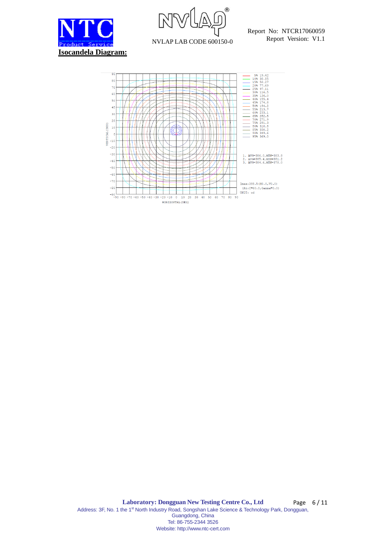



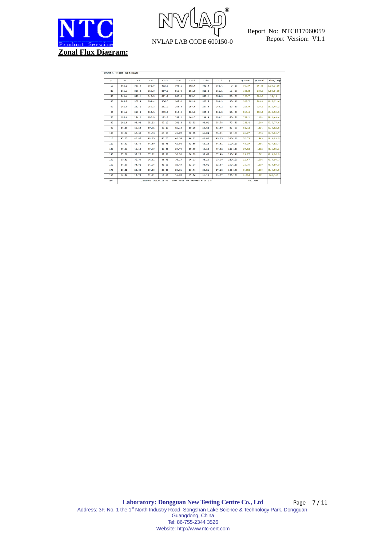



#### ZONAL FLUX DIAGRAM:

| Y          | C <sub>0</sub>                                                      | C45   | C90   | C135  | C180  | C225  | C270  | C315  | Y           | $\Phi$ zone | $\Phi$ total | <b>tlum.lamp</b> |
|------------|---------------------------------------------------------------------|-------|-------|-------|-------|-------|-------|-------|-------------|-------------|--------------|------------------|
| 10         | 382.2                                                               | 383.0 | 382.8 | 382.9 | 383.1 | 382.6 | 382.9 | 382.4 | $0 - 10$    | 36.79       | 36.79        | 2.28.2.28        |
| 20         | 366.1                                                               | 366.9 | 367.0 | 367.3 | 368.0 | 366.0 | 365.8 | 366.5 | $10 - 20$   | 106.2       | 143.0        | 8.88,8.88        |
| 30         | 340.4                                                               | 341.1 | 340.2 | 341.4 | 342.0 | 339.1 | 339.1 | 339.8 | $20 - 30$   | 163.7       | 306.7        | 19.19            |
| 40         | 305.5                                                               | 305.9 | 304.4 | 306.0 | 307.0 | 302.8 | 302.5 | 304.3 | $30 - 40$   | 202.7       | 509.4        | 31.6, 31.6       |
| 50         | 262.0                                                               | 262.2 | 259.3 | 261.2 | 263.3 | 257.6 | 257.8 | 260.2 | $40 - 50$   | 218.9       | 728.3        | 45.2.45.2        |
| 60         | 211.6                                                               | 210.9 | 207.5 | 209.6 | 212.0 | 206.0 | 205.8 | 209.2 | $50 - 60$   | 210.6       | 938.9        | 58.3,58.3        |
| 70         | 156.0                                                               | 154.2 | 150.5 | 152.2 | 155.2 | 148.7 | 148.9 | 153.1 | $60 - 70$   | 179.2       | 1118         | 69.4.69.4        |
| 80         | 102.8                                                               | 98.94 | 95.13 | 97.12 | 101.3 | 93.93 | 93.91 | 98.78 | $70 - 80$   | 131.4       | 1249         | 77.6,77.6        |
| 90         | 66.60                                                               | 62.58 | 59.95 | 62.42 | 65.18 | 60.29 | 59.65 | 63.69 | $80 - 90$   | 84.72       | 1334         | 82.8,82.8        |
| 100        | 50.56                                                               | 53.68 | 51.93 | 53.92 | 49.87 | 52.35 | 51.84 | 55.01 | $90 - 100$  | 61.67       | 1396         | 86.7,86.7        |
| 110        | 47.05                                                               | 48.07 | 48.25 | 48.25 | 46.34 | 46.81 | 48.00 | 49.13 | $100 - 110$ | 52.75       | 1449         | 89.9.89.9        |
| 120        | 43.41                                                               | 43.70 | 44.60 | 43.96 | 42.96 | 42.68 | 44.15 | 44.41 | 110-120     | 45.29       | 1494         | 92.7,92.7        |
| 130        | 40.01                                                               | 40.16 | 40.70 | 40.35 | 39.70 | 39.40 | 40.14 | 40.62 | $120 - 130$ | 37.62       | 1532         | 95.1.95.1        |
| 140        | 37.08                                                               | 37.26 | 37.12 | 37.36 | 36.58 | 36.39 | 36.66 | 37.40 | 130-140     | 29.87       | 1561         | 96.9,96.9        |
| 150        | 35.42                                                               | 35.30 | 34.61 | 34.91 | 34.17 | 34.03 | 34.20 | 35.06 | 140-150     | 22.47       | 1584         | 98.3.98.3        |
| 160        | 34.53                                                               | 34.82 | 34.06 | 33.69 | 32.49 | 31.07 | 33.81 | 32.67 | 150-160     | 15.75       | 1600         | 99.3,99.3        |
| 170        | 28.82                                                               | 29.69 | 29.58 | 30.38 | 30.01 | 26.74 | 30.51 | 27.13 | 160-170     | 8.992       | 1609         | 99.9,99.9        |
| 180        | 18.58                                                               | 17.75 | 21.11 | 19.09 | 18.57 | 17.76 | 21.13 | 19.07 | 170-180     | 2.316       | 1611         | 100,100          |
| <b>DEG</b> | LUMINOUS INTENSITY:cd<br>Less than $35\frac{1}{2}$ Percent = 19.2 % |       |       |       |       |       |       |       |             |             | UNIT:1m      |                  |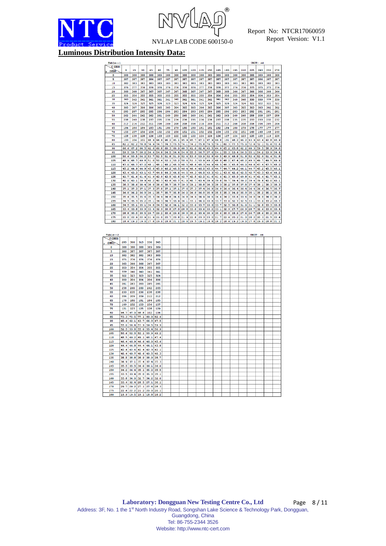



**Luminous Distribution Intensity Data:**

| Table-                  |                          |               |                      |                                 |                          |            |                                  |            |                          |                                                                                                          |            |            |            |                                            |            |                     | UNIT: cd   |            |            |
|-------------------------|--------------------------|---------------|----------------------|---------------------------------|--------------------------|------------|----------------------------------|------------|--------------------------|----------------------------------------------------------------------------------------------------------|------------|------------|------------|--------------------------------------------|------------|---------------------|------------|------------|------------|
| C(DEG)                  |                          |               |                      |                                 |                          |            |                                  |            |                          |                                                                                                          |            |            |            |                                            |            |                     |            |            |            |
| (DEC)                   | o                        | 15            | 30                   | 45                              | 60                       | 75         | 90                               | 105        | 120                      | 135                                                                                                      | 150        | 165        | 180        | 195                                        | 210        | 225                 | 240        | 255        | 270        |
| $\circ$                 | 388                      | 388           | 388                  | 388                             | 389                      | 388        | 388                              | 388        | 388                      | 388                                                                                                      | 389        | 389        | 388        | 388                                        | 388        | 388                 | 389        | 388        | 388        |
| 5                       | 387                      | 387           | 387                  | 386                             | 387                      | 387        | 387                              | 387        | 387                      | 387                                                                                                      | 387        | 387        | 387        | 387                                        | 387        | 387                 | 386        | 387        | 387        |
| 10                      | 382                      | 383           | 383                  | 383                             | 383                      | 383        | 383                              | 383        | 383                      | 383                                                                                                      | 383        | 383        | 383        | 383                                        | 383        | 383                 | 383        | 382        | 383        |
| 15                      | 376                      | 377           | 376                  | 376                             | 376                      | 376        | 376                              | 376        | 376                      | 377                                                                                                      | 376        | 376        | 377        | 376                                        | 376        | 375                 | 375        | 375        | 376        |
| 20<br>25                | 366<br>355               | 368<br>356    | 367<br>355           | 367<br>355                      | 367<br>355               | 367<br>355 | 367<br>355                       | 368<br>355 | 367<br>355               | 367<br>355                                                                                               | 367<br>356 | 368<br>356 | 368<br>356 | 366<br>355                                 | 367<br>355 | 366<br>354          | 366<br>354 | 366<br>353 | 366<br>354 |
| 30                      | 340                      | 342           | 341                  | 341                             | 341                      | 341        | 340                              | 341        | 341                      | 341                                                                                                      | 341        | 341        | 342        | 340                                        | 340        | 339                 | 339        | 339        | 339        |
| 35                      | 324                      | 326           | 325                  | 325                             | 324                      | 323        | 323                              | 324        | 324                      | 325                                                                                                      | 324        | 325        | 326        | 324                                        | 324        | 322                 | 322        | 322        | 322        |
| 40                      | 305                      | 307           | 306                  | 306                             | 305                      | 305        | 304                              | 305        | 305                      | 306                                                                                                      | 305        | 306        | 307        | 305                                        | 305        | 303                 | 303        | 302        | 302        |
| 45                      | 285                      | 287           | 285                  | 285                             | 284                      | 284        | 283                              | 284        | 283                      | 285                                                                                                      | 284        | 285        | 286        | 283                                        | 283        | 282                 | 281        | 281        | 281        |
| 50                      | 262                      | 264           | 262                  | 262                             | 261                      | 260        | 259                              | 260        | 260                      | 261                                                                                                      | 261        | 262        | 263        | 260                                        | 260        | 258                 | 258        | 257        | 258        |
| 55                      | 238                      | 240           | 238                  | 237                             | 235                      | 236        | 234                              | 236        | 235                      | 236                                                                                                      | 236        | 237        | 238        | 235                                        | 235        | 233                 | 233        | 232        | 232        |
| 60                      | 212                      | 214           | 212                  | 211                             | 208                      | 209        | 208                              | 208        | 208                      | 210                                                                                                      | 209        | 211        | 212        | 208                                        | 208        | 206                 | 206        | 205        | 206        |
| 65                      | 184                      | 186           | 184                  | 183                             | 181                      | 180        | 179                              | 180        | 180                      | 181                                                                                                      | 181        | 182        | 184        | 180                                        | 179        | 178                 | 177        | 177        | 177        |
| 70                      | 156                      | 157           | 156                  | 154                             | 152                      | 152        | 150                              | 151        | 151                      | 152                                                                                                      | 152        | 154        | 155        | 152                                        | 151        | 149                 | 148        | 148        | 149        |
| 75                      | 128                      | 130           | 128                  | 126                             | 123                      | 123        | 122                              | 122        | 122                      | 124                                                                                                      | 124        | 126        | 127        | 124                                        | 123        | 120                 | 120        | 119        | 120        |
| 80                      | 103                      | 104           | 101                  |                                 | 98.9 96.6                |            |                                  |            | 96.2 95.1 95.9 95.7 97.1 |                                                                                                          | 97.9       | 99.8       | 101        |                                            |            | 98.2 96.2 93.9 93.4 |            | 92.8       | 93.9       |
| 85                      | 82.2                     | 82.2          | 78.8                 | 76.9                            | 74.7                     | 74.3       | 73.5                             | 74.1       | 74.2                     | 75.8                                                                                                     | 76.5       | 79.1       | 80.3       | 77.3                                       | 75.0       | 72.8                | 72.1       | 71.6       | 72.6       |
| 90                      | 66.6                     | 67.2          | 64.5                 |                                 | $62.6$ 60.8              | 60.3       | 60.0                             | 60.5       |                          | $61.0$ 62.4                                                                                              | 63.5       | 64.9       |            | $65.2$ 63.8                                | 62.2       | 60.3 59.5           |            | 58.9       | 59.6       |
| 95                      |                          |               |                      |                                 |                          |            |                                  |            |                          | 59.5 58.2 56.4 54.8 54.5 54.4 54.8 55.5 56.7 57.6 54.1 55.3 53.4 56.5 55.1 54.2                          |            |            |            |                                            |            |                     |            | 53.9       | 54.4       |
| 100                     |                          |               |                      |                                 |                          |            |                                  |            |                          | 50.6 50.5 54.2 53.7 52.5 51.8 52.4 53.0 52.4 53.0 52.8 49.5 49.9 48.8 51.8 52.4 52.0 51.4                |            |            |            |                                            |            |                     |            |            | 51.8       |
| 105                     |                          |               |                      |                                 |                          |            |                                  |            | 48.6                     | 48.9 49.7 49.8 51.0 50.4 50.1 50.2 50.6 51.3 50.9 49.2 48.0 48.2 47.4 48.2 49.5 49.7 49.5 49.9           | 48.3 46.9  |            |            |                                            |            |                     |            | 47.5       | 48.0       |
| 110<br>115              |                          | $45.2$ $44.9$ | 44.9                 |                                 | 47.0 46.7 47.0 48.1 48.1 |            | 48.2 48.3 48.5                   |            |                          |                                                                                                          |            |            |            | 46.5 46.3 45.8 46.0 46.8 47.4              |            |                     |            | 45.5       | 46.1       |
| 120                     | 43.4                     |               | $43.3$ $43.1$        |                                 | 45.6 45.9<br>43.7 44.0   |            | 46.2 46.5 46.4<br>44.3 44.6 44.5 |            |                          | 46.4 46.0 45.0<br>44.3 44.0                                                                              | 43.3       | 44.7       |            | 44.7 44.2<br>43.1 43.0 42.6 42.5 42.7 43.3 |            | 44.1 44.7           | 45.2       | 43.6       | 44.2       |
| 125                     |                          |               | $41.7$ $41.6$ $41.4$ |                                 |                          |            |                                  |            |                          | 41.9 42.0 42.5 42.6 42.7 42.5 42.2                                                                       | 41.6       |            |            | 41.4 41.3 40.9 40.8 41.0 41.4              |            |                     |            | 41.7       | 42.1       |
| 130                     |                          |               |                      |                                 |                          |            |                                  |            |                          | 40.0 40.1 39.9 40.2 40.3 40.6 40.7 41.0 40.7 40.4 39.9                                                   |            |            |            | 39.8 39.7 39.4 39.2 39.4 39.8              |            |                     |            | 40.0       | 40.1       |
| 135                     | 38.5                     |               | 38.6 38.4            | 38.6                            | 38.6                     | 38.7       | 38.7                             | 39.3       | 39.1                     | 38.8                                                                                                     | 38.3       | 38.3       | 38.2       | 37.8                                       | 37.8       | 37.8                | 38.1       | 38.3       | 38.3       |
| 140                     | 37.1                     | 37.3          | 37.1                 | 37.3                            | 37.0                     | 37.1       | 37.1                             | 37.6       | 37.3                     | 37.4                                                                                                     | 36.9       | 36.9       | 36.6       | 36.4                                       | 36.4       | 36.4                | 36.6       | 36.7       | 36.7       |
| 145                     |                          |               | 36.0 36.2 36.0       |                                 | $36.1$ 35.7              |            | 35.7 35.8 36.2                   |            | 36.0                     | 36.0                                                                                                     | 35.8       | 35.5       |            | 35.3 34.9 35.0 35.1                        |            |                     | 35.2       | 35.1       | 35.3       |
| 150                     |                          |               |                      |                                 |                          |            |                                  |            |                          | 35.4 35.5 35.6 35.3 34.9 34.8 34.6 34.8 34.9 34.9 34.4 34.4 34.2 33.6 34.0 34.0 34.0 34.0 34.2           |            |            |            |                                            |            |                     |            |            |            |
| 155                     |                          |               |                      |                                 |                          |            |                                  |            |                          | 34.5 35.3 35.2 35.1 34.3 34.7 33.9 34.1 33.1 34.0 33.8 33.7 33.0 32.7 32.5 33.1 33.0 32.2 33.2           |            |            |            |                                            |            |                     |            |            |            |
| 160                     |                          |               |                      |                                 |                          |            |                                  |            |                          | 34.5 35.1 35.1 34.8 34.5 32.6 34.1 32.2 33.0 33.7 33.6 33.7 32.5 30.8 31.0 31.1 32.8                     |            |            |            |                                            |            |                     |            | 33.3       | 33.8       |
| 165                     | 33.4                     | 33.8          | 33.9                 | 33.4                            | 32.9                     |            | 30.8 27.0 28.8                   |            | 33.0                     | 33.6                                                                                                     | 33.2       | 33.1       | 32.9       | 27.7                                       | 26.9       | 28.7                | 32.6       | 33.0       | 33.4       |
| 170                     |                          |               | 28.8 30.0 30.5       | 29.7                            | 29.2                     |            |                                  |            |                          | 30.6 29.6 30.0 30.2 30.4 30.9                                                                            |            |            |            | 30.6 30.0 28.9 27.6 26.7 28.6              |            |                     |            | 30.2       | 30.5       |
| 175                     |                          |               |                      |                                 |                          |            |                                  |            |                          | 22.0 22.9 22.9 21.9 21.0 20.7 20.8 21.9 22.8 23.3 23.0 21.7 22.6 20.2 21.0 20.2 20.3 21.5 22.4           |            |            |            |                                            |            |                     |            |            |            |
| 180                     |                          |               |                      |                                 |                          |            |                                  |            |                          | 18.6 19.2 19.0 17.8 19.0 17.8 19.0 18.8 21.1 20.0 19.5 19.1 18.8 18.2 18.6 19.2 19.0 17.8 19.0 18.8 21.1 |            |            |            |                                            |            |                     |            |            |            |
|                         |                          |               |                      |                                 |                          |            |                                  |            |                          |                                                                                                          |            |            |            |                                            |            |                     |            |            |            |
|                         |                          |               |                      |                                 |                          |            |                                  |            |                          |                                                                                                          |            |            |            |                                            |            |                     |            |            |            |
| Table-<br>-2<br>C (DEG) |                          |               |                      |                                 |                          |            |                                  |            |                          |                                                                                                          |            |            |            |                                            |            |                     | UNIT: ed   |            |            |
| (DEG)                   | 285                      | 300           | 315                  | 330                             | 345                      |            |                                  |            |                          |                                                                                                          |            |            |            |                                            |            |                     |            |            |            |
| O                       | 388                      | 388           | 388                  | 389                             | 389                      |            |                                  |            |                          |                                                                                                          |            |            |            |                                            |            |                     |            |            |            |
| 5                       | 386                      | 387           | 387                  | 387                             | 387                      |            |                                  |            |                          |                                                                                                          |            |            |            |                                            |            |                     |            |            |            |
| 10                      | 382                      | 382           | 382                  | 383                             | 383                      |            |                                  |            |                          |                                                                                                          |            |            |            |                                            |            |                     |            |            |            |
| 15                      | 375                      | 376           | 376                  | 376                             | 376                      |            |                                  |            |                          |                                                                                                          |            |            |            |                                            |            |                     |            |            |            |
| 20                      | 365                      | 366           | 366                  | 367                             | 367                      |            |                                  |            |                          |                                                                                                          |            |            |            |                                            |            |                     |            |            |            |
| 25                      | 353                      | 354           | 354                  | 355                             | 355                      |            |                                  |            |                          |                                                                                                          |            |            |            |                                            |            |                     |            |            |            |
| 30                      | 339                      | 340           | 340                  | 341                             | 341                      |            |                                  |            |                          |                                                                                                          |            |            |            |                                            |            |                     |            |            |            |
| 35                      | 322                      | 323           | 323                  | 325                             | 324                      |            |                                  |            |                          |                                                                                                          |            |            |            |                                            |            |                     |            |            |            |
| 40                      | 303                      | 304           | 304                  | 306                             | 306                      |            |                                  |            |                          |                                                                                                          |            |            |            |                                            |            |                     |            |            |            |
| 45                      | 281                      | 283           | 283                  | 285                             | 285                      |            |                                  |            |                          |                                                                                                          |            |            |            |                                            |            |                     |            |            |            |
| 50                      | 258                      | 260           | 260                  | 262                             | 263                      |            |                                  |            |                          |                                                                                                          |            |            |            |                                            |            |                     |            |            |            |
| 55                      | 233                      | 235           | 236                  | 238                             | 238                      |            |                                  |            |                          |                                                                                                          |            |            |            |                                            |            |                     |            |            |            |
| 60                      | 206                      | 209           | 209                  | 212                             | 212                      |            |                                  |            |                          |                                                                                                          |            |            |            |                                            |            |                     |            |            |            |
| 65                      | 178                      | 180           | 181                  | 184                             | 185                      |            |                                  |            |                          |                                                                                                          |            |            |            |                                            |            |                     |            |            |            |
| 70<br>75                | 149<br>121               | 152<br>123    | 153<br>125           | 156<br>128                      | 157<br>129               |            |                                  |            |                          |                                                                                                          |            |            |            |                                            |            |                     |            |            |            |
| 80                      | 94.7 97.0 98.8           |               |                      | 102                             |                          |            |                                  |            |                          |                                                                                                          |            |            |            |                                            |            |                     |            |            |            |
| 85                      | 73.3                     | 75.5          | 77.1                 | 80.0 82.6                       | 104                      |            |                                  |            |                          |                                                                                                          |            |            |            |                                            |            |                     |            |            |            |
| 90                      |                          |               |                      | 60.4 62.1 63.7 66.0 67.5        |                          |            |                                  |            |                          |                                                                                                          |            |            |            |                                            |            |                     |            |            |            |
| 95                      |                          |               |                      | 55.0 56.4 57.9 59.5 59.9        |                          |            |                                  |            |                          |                                                                                                          |            |            |            |                                            |            |                     |            |            |            |
| 100                     |                          |               |                      | 52.5 53.8 55.0 55.4 50.9        |                          |            |                                  |            |                          |                                                                                                          |            |            |            |                                            |            |                     |            |            |            |
| 105                     |                          |               |                      | 50.6 52.0 52.1 50.9 49.2        |                          |            |                                  |            |                          |                                                                                                          |            |            |            |                                            |            |                     |            |            |            |
| 110                     | 48.5                     |               |                      | 49.2 49.1 48.1 47.4             |                          |            |                                  |            |                          |                                                                                                          |            |            |            |                                            |            |                     |            |            |            |
| 115                     |                          |               |                      | 46.4 46.9 46.6 46.0 45.6        |                          |            |                                  |            |                          |                                                                                                          |            |            |            |                                            |            |                     |            |            |            |
| 120                     |                          |               |                      | 44.4 44.8 44.4 44.1 43.8        |                          |            |                                  |            |                          |                                                                                                          |            |            |            |                                            |            |                     |            |            |            |
| 125                     |                          |               |                      | 42.4 42.6 42.4 42.3 42.1        |                          |            |                                  |            |                          |                                                                                                          |            |            |            |                                            |            |                     |            |            |            |
| 130                     |                          |               |                      | 40.4 40.7 40.6 40.5 40.3        |                          |            |                                  |            |                          |                                                                                                          |            |            |            |                                            |            |                     |            |            |            |
| 135                     | 38.5 38.8 38.9           |               |                      | 38.9 38.7                       |                          |            |                                  |            |                          |                                                                                                          |            |            |            |                                            |            |                     |            |            |            |
| 140                     | 36.9                     | 37.1          | 37.4                 | 37.4                            | 37.3                     |            |                                  |            |                          |                                                                                                          |            |            |            |                                            |            |                     |            |            |            |
| 145                     | 35.5                     | 35.5          | 36.0                 | 36.1                            | 36.0                     |            |                                  |            |                          |                                                                                                          |            |            |            |                                            |            |                     |            |            |            |
| 150                     | 34.2 34.4 35.1           |               |                      | 35.2 35.5                       |                          |            |                                  |            |                          |                                                                                                          |            |            |            |                                            |            |                     |            |            |            |
| 155                     |                          |               |                      | 33.5 33.4 35.0 35.0 35.1        |                          |            |                                  |            |                          |                                                                                                          |            |            |            |                                            |            |                     |            |            |            |
| 160                     |                          |               |                      | 33.8 34.0 32.7 34.2 32.0        |                          |            |                                  |            |                          |                                                                                                          |            |            |            |                                            |            |                     |            |            |            |
|                         |                          |               |                      |                                 |                          |            |                                  |            |                          |                                                                                                          |            |            |            |                                            |            |                     |            |            |            |
| 165                     | 33.4 32.4 28.5 27.1 30.1 |               |                      |                                 |                          |            |                                  |            |                          |                                                                                                          |            |            |            |                                            |            |                     |            |            |            |
| 170                     |                          |               |                      | 29.7 29.2 27.1 27.6 28.3        |                          |            |                                  |            |                          |                                                                                                          |            |            |            |                                            |            |                     |            |            |            |
| 175<br>190              | 100 105 10               |               | n.                   | 22.6 22.2 21.2 20.0 20.1<br>10B | 10.2                     |            |                                  |            |                          |                                                                                                          |            |            |            |                                            |            |                     |            |            |            |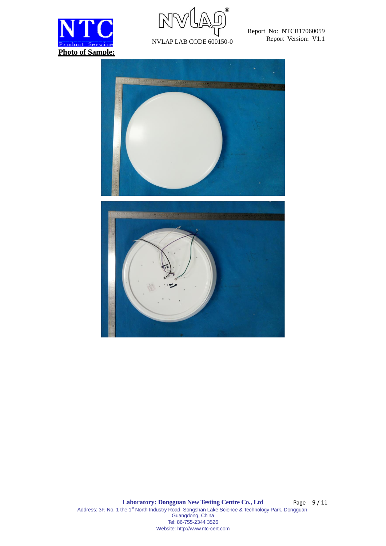



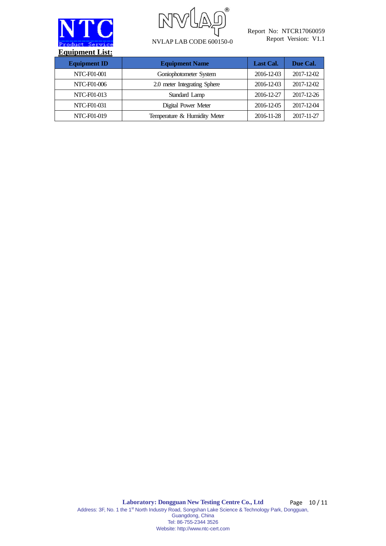



NVLAP LAB CODE 600150-0

Report No: NTCR17060059 Report Version: V1.1

| <b>Equipment ID</b> | <b>Equipment Name</b>        | Last Cal.  | Due Cal.   |
|---------------------|------------------------------|------------|------------|
| NTC-F01-001         | Goniophotometer System       | 2016-12-03 | 2017-12-02 |
| NTC-F01-006         | 2.0 meter Integrating Sphere | 2016-12-03 | 2017-12-02 |
| NTC-F01-013         | Standard Lamp                | 2016-12-27 | 2017-12-26 |
| NTC-F01-031         | Digital Power Meter          | 2016-12-05 | 2017-12-04 |
| NTC-F01-019         | Temperature & Humidity Meter | 2016-11-28 | 2017-11-27 |